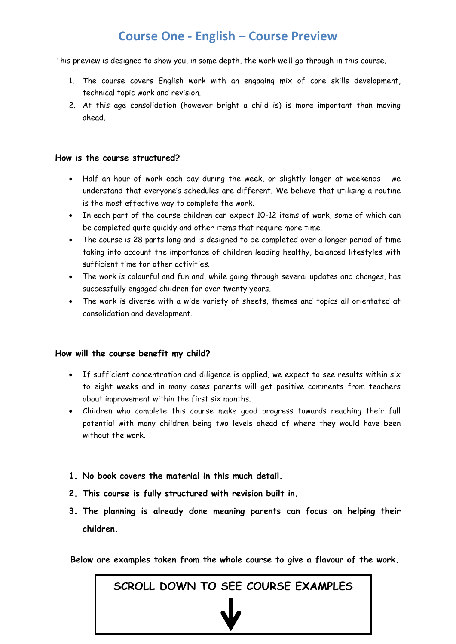# **Course One - English – Course Preview**

This preview is designed to show you, in some depth, the work we'll go through in this course.

- 1. The course covers English work with an engaging mix of core skills development, technical topic work and revision.
- 2. At this age consolidation (however bright a child is) is more important than moving ahead.

#### **How is the course structured?**

- Half an hour of work each day during the week, or slightly longer at weekends we understand that everyone's schedules are different. We believe that utilising a routine is the most effective way to complete the work.
- In each part of the course children can expect 10-12 items of work, some of which can be completed quite quickly and other items that require more time.
- The course is 28 parts long and is designed to be completed over a longer period of time taking into account the importance of children leading healthy, balanced lifestyles with sufficient time for other activities.
- The work is colourful and fun and, while going through several updates and changes, has successfully engaged children for over twenty years.
- The work is diverse with a wide variety of sheets, themes and topics all orientated at consolidation and development.

#### **How will the course benefit my child?**

- If sufficient concentration and diligence is applied, we expect to see results within six to eight weeks and in many cases parents will get positive comments from teachers about improvement within the first six months.
- Children who complete this course make good progress towards reaching their full potential with many children being two levels ahead of where they would have been without the work.
- **1. No book covers the material in this much detail.**
- **2. This course is fully structured with revision built in.**
- **3. The planning is already done meaning parents can focus on helping their children.**

**Below are examples taken from the whole course to give a flavour of the work.**

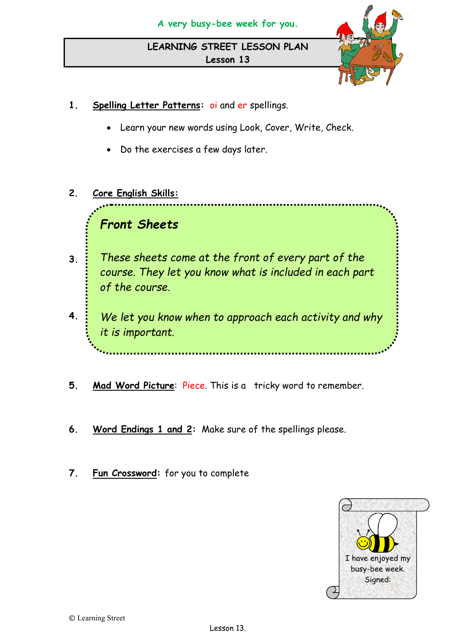

- **1. Spelling Letter Patterns:** oi and er spellings.
	- Learn your new words using Look, Cover, Write, Check.
	- Do the exercises a few days later.
- **2. Core English Skills:**

#### • **Location language** – do you know where they go? *Front Sheets*

- **3**.  $\frac{1}{2}$  These sheets come at the front of every part of the course. They let you know what is included in each part *of the course.*
- **4.**  $\cdot$  We let you know when to approach each activity and why please. You are pretty good at contractions now! Little certificate *it is important.*to stick in your book.
- **5. Mad Word Picture**: Piece. This is a tricky word to remember.
- **6. Word Endings 1 and 2:** Make sure of the spellings please.
- **7. Fun Crossword:** for you to complete

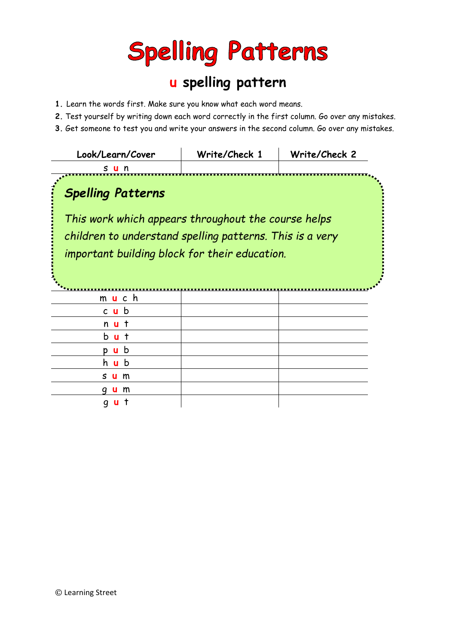# **Spelling Patterns**

# **u spelling pattern**

- **1.** Learn the words first. Make sure you know what each word means.
- **2.** Test yourself by writing down each word correctly in the first column. Go over any mistakes.
- **3.** Get someone to test you and write your answers in the second column. Go over any mistakes.

| Look/Learn/Cover                                         | Write/Check 1 | Write/Check 2 |
|----------------------------------------------------------|---------------|---------------|
| s u n                                                    |               |               |
| <b>Spelling Patterns</b>                                 |               |               |
| This work which appears throughout the course helps      |               |               |
| children to understand spelling patterns. This is a very |               |               |
| important building block for their education.            |               |               |
|                                                          |               |               |
|                                                          |               |               |
| m <b>u</b> c h                                           |               |               |
| $c$ u b                                                  |               |               |
| n u                                                      |               |               |
| b<br>$\mathbf{u}$                                        |               |               |
| b<br>$\mathbf{u}$                                        |               |               |
| b<br>h u                                                 |               |               |
| s<br>m                                                   |               |               |
| m                                                        |               |               |
| a                                                        |               |               |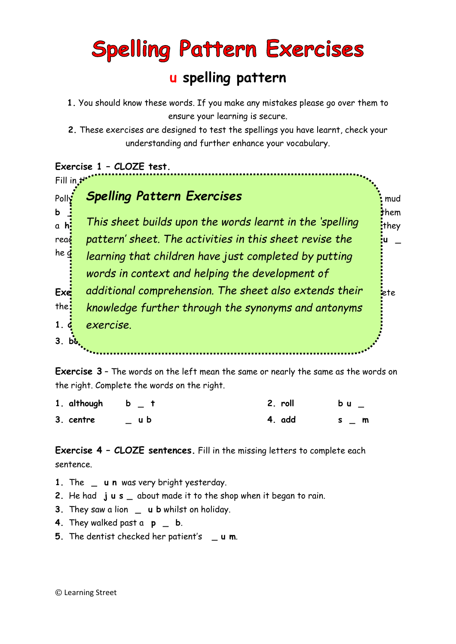# **Spelling Pattern Exercises**

# **u spelling pattern**

- **1.** You should know these words. If you make any mistakes please go over them to ensure your learning is secure.
- **2.** These exercises are designed to test the spellings you have learnt, check your understanding and further enhance your vocabulary.

## **Exercise 1 – CLOZE test.**



**Exercise 3** – The words on the left mean the same or nearly the same as the words on the right. Complete the words on the right.

| 1. although b $_t$ t |     | 2. roll | $b$ u $=$ |
|----------------------|-----|---------|-----------|
| 3. centre            | ub. | 4. add  | s m       |

**Exercise 4 – CLOZE sentences.** Fill in the missing letters to complete each sentence.

- **1.** The **u n** was very bright yesterday.
- **2.** He had **j u s \_** about made it to the shop when it began to rain.
- **3.** They saw a lion \_ u b whilst on holiday.
- **4.** They walked past a **p \_ b**.
- **5.** The dentist checked her patient's **\_ u m**.

© Learning Street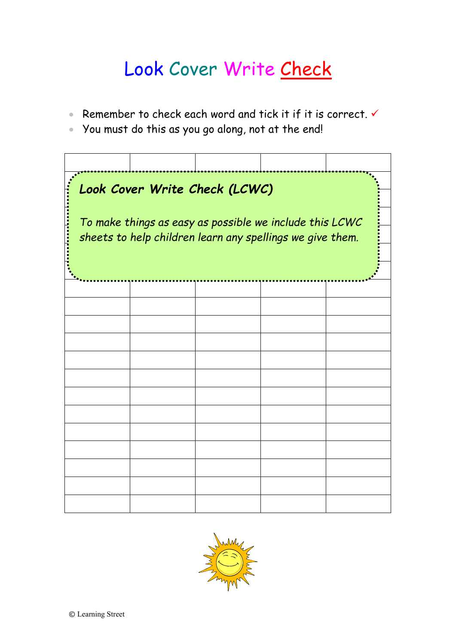# Look Cover Write Check

- Remember to check each word and tick it if it is correct.  $\checkmark$
- You must do this as you go along, not at the end!

| Look Cover Write Check (LCWC)<br>To make things as easy as possible we include this LCWC<br>sheets to help children learn any spellings we give them. |  |  |  |  |
|-------------------------------------------------------------------------------------------------------------------------------------------------------|--|--|--|--|
|                                                                                                                                                       |  |  |  |  |
|                                                                                                                                                       |  |  |  |  |
|                                                                                                                                                       |  |  |  |  |
|                                                                                                                                                       |  |  |  |  |
|                                                                                                                                                       |  |  |  |  |
|                                                                                                                                                       |  |  |  |  |
|                                                                                                                                                       |  |  |  |  |
|                                                                                                                                                       |  |  |  |  |
|                                                                                                                                                       |  |  |  |  |
|                                                                                                                                                       |  |  |  |  |
|                                                                                                                                                       |  |  |  |  |
|                                                                                                                                                       |  |  |  |  |
|                                                                                                                                                       |  |  |  |  |

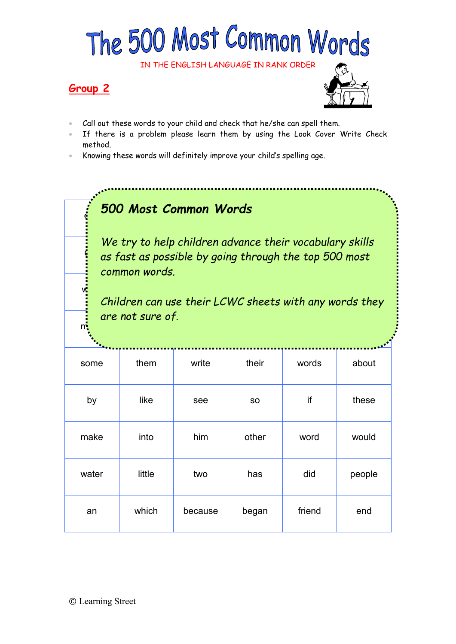# The 500 Most Common Words

IN THE ENGLISH LANGUAGE IN RANK ORDER

## **Group 2**



- Call out these words to your child and check that he/she can spell them.
- If there is a problem please learn them by using the Look Cover Write Check method.
- Knowing these words will definitely improve your child's spelling age.

# one this all had from being been all had found been all had found been all had found between  $\mathcal{S}$

 $\frac{2}{3}$  as fast as possible by going through the top 500 most *We try to help children advance their vocabulary skills common words.* 

we recover  $\mathcal{N}$  , we recover the set of the set of the set of the set of the set of the set of the set of the set of the set of the set of the set of the set of the set of the set of the set of the set of the set of t

 $m$  we then here or outside the neutrino of the neutrino of the neutrino of the  $\alpha$ *Children can use their LCWC sheets with any words they are not sure of.*

| some  | them   | write   | their     | words  | about  |
|-------|--------|---------|-----------|--------|--------|
| by    | like   | see     | <b>SO</b> | if     | these  |
| make  | into   | him     | other     | word   | would  |
| water | little | two     | has       | did    | people |
| an    | which  | because | began     | friend | end    |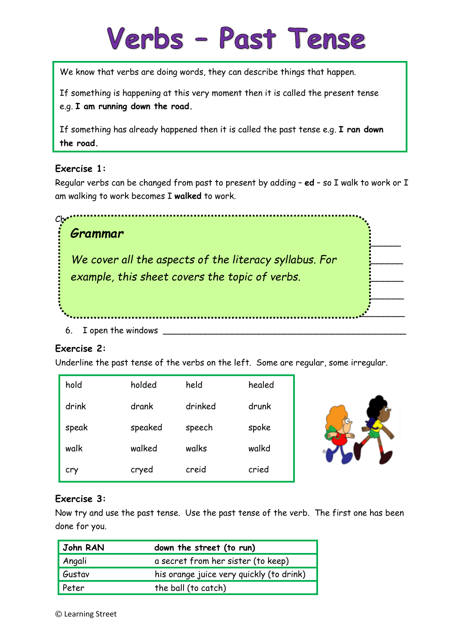# Verbs - Past Tense

We know that verbs are doing words, they can describe things that happen.

If something is happening at this very moment then it is called the present tense e.g. **I am running down the road.**

If something has already happened then it is called the past tense e.g. **I ran down the road.**

### **Exercise 1:**

Regular verbs can be changed from past to present by adding – **ed** – so I walk to work or I am walking to work becomes I **walked** to work.

| CM<br>Grammar                                                                                            |  |
|----------------------------------------------------------------------------------------------------------|--|
| We cover all the aspects of the literacy syllabus. For<br>example, this sheet covers the topic of verbs. |  |
|                                                                                                          |  |
| I open the windows<br>6                                                                                  |  |

#### **Exercise 2:**

Underline the past tense of the verbs on the left. Some are regular, some irregular.

| hold  | holded  | held    | healed |
|-------|---------|---------|--------|
| drink | drank   | drinked | drunk  |
| speak | speaked | speech  | spoke  |
| walk  | walked  | walks   | walkd  |
| cry   | cryed   | creid   | cried  |



### **Exercise 3:**

Now try and use the past tense. Use the past tense of the verb. The first one has been done for you.

| John RAN<br>down the street (to run) |                                          |
|--------------------------------------|------------------------------------------|
| Angali                               | a secret from her sister (to keep)       |
| Gustav                               | his orange juice very quickly (to drink) |
| Peter                                | the ball (to catch)                      |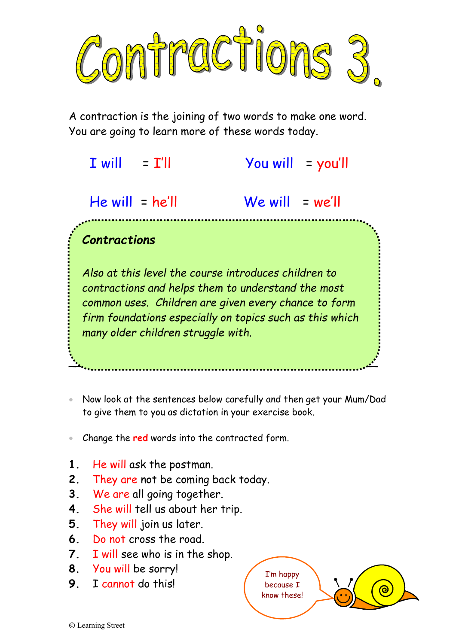

A contraction is the joining of two words to make one word. You are going to learn more of these words today.

| T will<br>= T'II                   | $\gamma$ ou will = you'll                                                                                                                                                                                                      |
|------------------------------------|--------------------------------------------------------------------------------------------------------------------------------------------------------------------------------------------------------------------------------|
| $He will = he'll$                  | $We will = we'll$                                                                                                                                                                                                              |
| <b>Contractions</b>                |                                                                                                                                                                                                                                |
| many older children struggle with. | Also at this level the course introduces children to<br>contractions and helps them to understand the most<br>common uses. Children are given every chance to form<br>firm foundations especially on topics such as this which |

• Now look at the sentences below carefully and then get your Mum/Dad to give them to you as dictation in your exercise book.

\_\_\_\_\_\_\_\_\_\_\_\_\_\_\_\_\_\_\_\_\_\_\_\_\_\_\_\_\_\_\_\_\_\_\_\_\_\_\_\_\_\_\_\_\_\_

- Change the **red** words into the contracted form.
- **1.** He will ask the postman.
- **2.** They are not be coming back today.
- **3.** We are all going together.
- **4.** She will tell us about her trip.
- **5.** They will join us later.
- **6.** Do not cross the road.
- **7.** I will see who is in the shop.
- **8.** You will be sorry!
- **9.** I cannot do this!

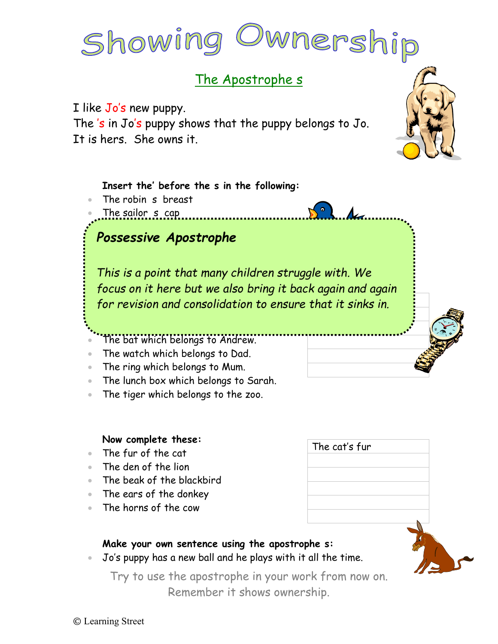# Showing Dwnership

# The Apostrophe s

I like Jo's new puppy.

The 's in Jo's puppy shows that the puppy belongs to Jo. It is hers. She owns it.



### **Insert the' before the s in the following:**

- The robin s breast
- The sailor s cap



*This is a point that many children struggle with. We* for revision and consolidation to ensure that it sinks in. *focus on it here but we also bring it back again and again*

- The bat which belongs to Andrew.
- The watch which belongs to Dad.

• The book belonging to Peter.

- The ring which belongs to Mum.
- The lunch box which belongs to Sarah.
- The tiger which belongs to the zoo.

#### **Now complete these:**

- The fur of the cat
- The den of the lion
- The beak of the blackbird
- The ears of the donkey
- The horns of the cow

# The cat's fur



• Jo's puppy has a new ball and he plays with it all the time.

Try to use the apostrophe in your work from now on. Remember it shows ownership.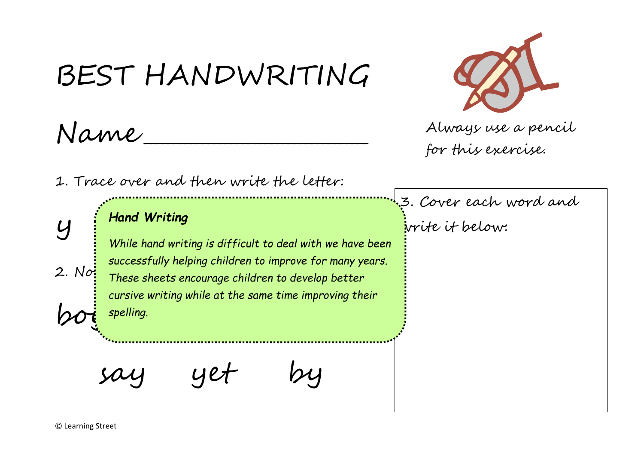# BEST HANDWRITING Name \_\_\_\_\_\_\_\_\_\_\_\_\_\_\_\_\_\_\_\_\_\_\_\_\_\_\_\_\_\_\_\_\_\_\_\_\_\_\_ 1. Trace over and then write the letter:  $y$   $\frac{y}{y}$  Hand Writing<br> $y$  y while hand uniting is difficult to deal with 2. Not These sheets encourage children to develop better  $\omega$  spelling. say yet by 3. Cover each word and write it below: Always use a pencil for this exercise. *Hand Writing While hand writing is difficult to deal with we have been successfully helping children to improve for many years. cursive writing while at the same time improving their spelling.*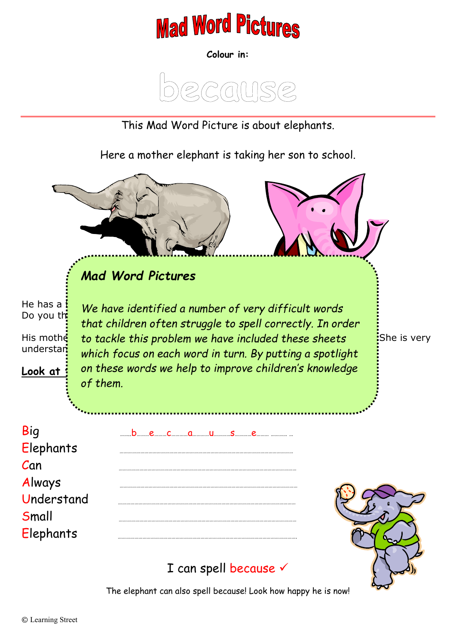

**Colour in:**



This Mad Word Picture is about elephants.

Here a mother elephant is taking her son to school.



# I can spell because v

The elephant can also spell because! Look how happy he is now!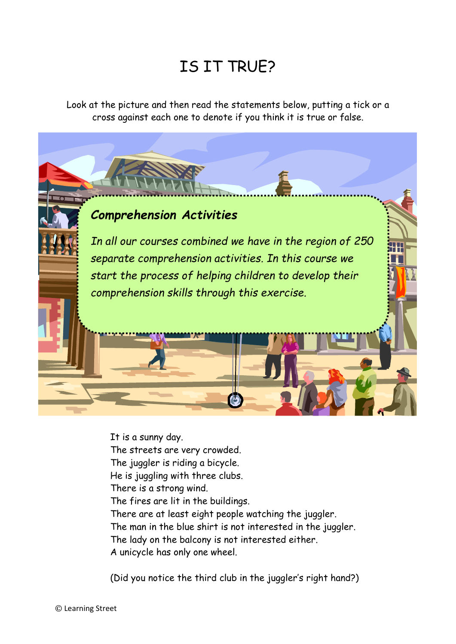# IS IT TRUE?

Look at the picture and then read the statements below, putting a tick or a cross against each one to denote if you think it is true or false.

# *Comprehension Activities*

*In all our courses combined we have in the region of 250 separate comprehension activities. In this course we start the process of helping children to develop their comprehension skills through this exercise.* 

It is a sunny day. The streets are very crowded. The juggler is riding a bicycle. He is juggling with three clubs. There is a strong wind. The fires are lit in the buildings. There are at least eight people watching the juggler. The man in the blue shirt is not interested in the juggler. The lady on the balcony is not interested either. A unicycle has only one wheel.

(Did you notice the third club in the juggler's right hand?)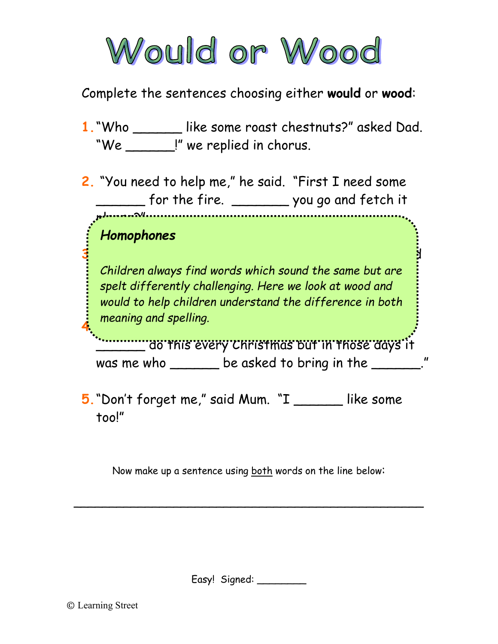

Complete the sentences choosing either **would** or **wood**:

- **1.**"Who \_\_\_\_\_\_ like some roast chestnuts?" asked Dad. "We \_\_\_\_\_\_!" we replied in chorus.
- **2.** "You need to help me," he said. "First I need some \_\_\_\_\_\_ for the fire. \_\_\_\_\_\_\_ you go and fetch it

# *Homophones*

pleaser?"

*Children always find words which sound the same but are*  $\overline{\phantom{a}}$ spelt differently challenging. Here we look at wood and **4.** The army and spenny.  $\overline{y}$ *would to help children understand the difference in both meaning and spelling.* 

**3.**So we collected some \_\_\_\_\_\_ from the shed and Dad

**\_\_\_\_\_\_\_\_\_ do this every Christmas but in those days it** was me who \_\_\_\_\_\_\_ be asked to bring in the \_\_\_\_\_\_\_."

**5.**"Don't forget me," said Mum. "I \_\_\_\_\_\_ like some too!"

Now make up a sentence using both words on the line below:

\_\_\_\_\_\_\_\_\_\_\_\_\_\_\_\_\_\_\_\_\_\_\_\_\_\_\_\_\_\_\_\_\_\_\_\_\_\_\_\_\_\_\_\_\_\_\_\_\_

Easy! Signed: \_\_\_\_\_\_\_\_